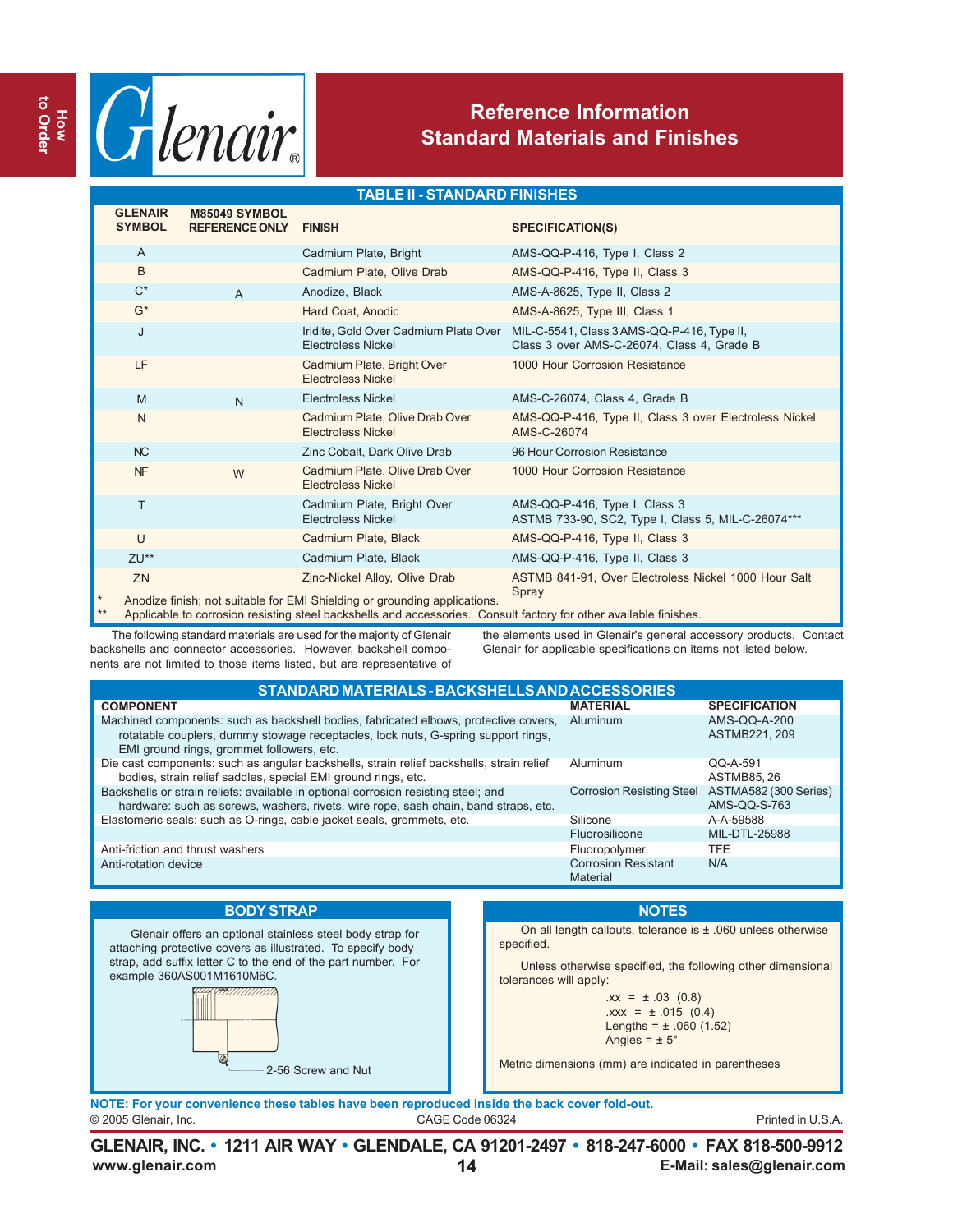

## **Reference Information Standard Materials and Finishes**

#### **TABLE II - STANDARD FINISHES**

|         | <b>GLENAIR</b><br><b>SYMBOL</b>                                                                                   | <b>M85049 SYMBOL</b><br><b>REFERENCE ONLY</b> | <b>FINISH</b>                                                                                              | <b>SPECIFICATION(S)</b>                                                                  |  |  |  |  |  |
|---------|-------------------------------------------------------------------------------------------------------------------|-----------------------------------------------|------------------------------------------------------------------------------------------------------------|------------------------------------------------------------------------------------------|--|--|--|--|--|
|         | $\overline{A}$                                                                                                    |                                               | Cadmium Plate, Bright                                                                                      | AMS-QQ-P-416, Type I, Class 2                                                            |  |  |  |  |  |
|         | B                                                                                                                 |                                               | Cadmium Plate, Olive Drab                                                                                  | AMS-QQ-P-416, Type II, Class 3                                                           |  |  |  |  |  |
|         | $C^*$                                                                                                             | $\overline{A}$                                | Anodize, Black                                                                                             | AMS-A-8625, Type II, Class 2                                                             |  |  |  |  |  |
|         | $G^*$                                                                                                             |                                               | Hard Coat, Anodic                                                                                          | AMS-A-8625, Type III, Class 1                                                            |  |  |  |  |  |
|         | J                                                                                                                 |                                               | Iridite, Gold Over Cadmium Plate Over<br><b>Electroless Nickel</b>                                         | MIL-C-5541, Class 3 AMS-QQ-P-416, Type II,<br>Class 3 over AMS-C-26074, Class 4, Grade B |  |  |  |  |  |
|         | LF                                                                                                                |                                               | Cadmium Plate, Bright Over<br><b>Electroless Nickel</b>                                                    | 1000 Hour Corrosion Resistance                                                           |  |  |  |  |  |
|         | M                                                                                                                 | $\overline{N}$                                | Electroless Nickel                                                                                         | AMS-C-26074, Class 4, Grade B                                                            |  |  |  |  |  |
|         | N                                                                                                                 |                                               | Cadmium Plate, Olive Drab Over<br><b>Electroless Nickel</b>                                                | AMS-QQ-P-416, Type II, Class 3 over Electroless Nickel<br>AMS-C-26074                    |  |  |  |  |  |
|         | NC                                                                                                                |                                               | Zinc Cobalt, Dark Olive Drab                                                                               | 96 Hour Corrosion Resistance                                                             |  |  |  |  |  |
|         | NF                                                                                                                | W                                             | Cadmium Plate, Olive Drab Over<br><b>Electroless Nickel</b>                                                | 1000 Hour Corrosion Resistance                                                           |  |  |  |  |  |
|         | T                                                                                                                 |                                               | Cadmium Plate, Bright Over<br>Electroless Nickel                                                           | AMS-QQ-P-416, Type I, Class 3<br>ASTMB 733-90, SC2, Type I, Class 5, MIL-C-26074***      |  |  |  |  |  |
|         | $\cup$                                                                                                            |                                               | Cadmium Plate, Black                                                                                       | AMS-QQ-P-416, Type II, Class 3                                                           |  |  |  |  |  |
|         | ZU**                                                                                                              |                                               | Cadmium Plate, Black                                                                                       | AMS-QQ-P-416, Type II, Class 3                                                           |  |  |  |  |  |
| $\star$ | ZN                                                                                                                |                                               | Zinc-Nickel Alloy, Olive Drab<br>Anodize finish; not suitable for EMI Shielding or grounding applications. | ASTMB 841-91, Over Electroless Nickel 1000 Hour Salt<br>Spray                            |  |  |  |  |  |
| $**$    | Applicable to corrosion resisting steel backshells and accessories. Consult factory for other available finishes. |                                               |                                                                                                            |                                                                                          |  |  |  |  |  |

The following standard materials are used for the majority of Glenair backshells and connector accessories. However, backshell components are not limited to those items listed, but are representative of the elements used in Glenair's general accessory products. Contact Glenair for applicable specifications on items not listed below.

| STANDARD MATERIALS - BACKSHELLS AND ACCESSORIES                                                                                                                                                                        |                                        |                                       |  |  |  |  |  |  |  |
|------------------------------------------------------------------------------------------------------------------------------------------------------------------------------------------------------------------------|----------------------------------------|---------------------------------------|--|--|--|--|--|--|--|
| <b>COMPONENT</b>                                                                                                                                                                                                       | <b>MATERIAL</b>                        | <b>SPECIFICATION</b>                  |  |  |  |  |  |  |  |
| Machined components: such as backshell bodies, fabricated elbows, protective covers,<br>rotatable couplers, dummy stowage receptacles, lock nuts, G-spring support rings,<br>EMI ground rings, grommet followers, etc. | Aluminum                               | AMS-QQ-A-200<br>ASTMB221, 209         |  |  |  |  |  |  |  |
| Die cast components: such as angular backshells, strain relief backshells, strain relief<br>bodies, strain relief saddles, special EMI ground rings, etc.                                                              | Aluminum                               | $QQ-A-591$<br><b>ASTMB85.26</b>       |  |  |  |  |  |  |  |
| Backshells or strain reliefs: available in optional corrosion resisting steel; and<br>hardware: such as screws, washers, rivets, wire rope, sash chain, band straps, etc.                                              | <b>Corrosion Resisting Steel</b>       | ASTMA582 (300 Series)<br>AMS-QQ-S-763 |  |  |  |  |  |  |  |
| Elastomeric seals: such as O-rings, cable jacket seals, grommets, etc.                                                                                                                                                 | Silicone                               | A-A-59588                             |  |  |  |  |  |  |  |
|                                                                                                                                                                                                                        | Fluorosilicone                         | MIL-DTL-25988                         |  |  |  |  |  |  |  |
| Anti-friction and thrust washers                                                                                                                                                                                       | Fluoropolymer                          | <b>TFF</b>                            |  |  |  |  |  |  |  |
| Anti-rotation device                                                                                                                                                                                                   | <b>Corrosion Resistant</b><br>Material | N/A                                   |  |  |  |  |  |  |  |
|                                                                                                                                                                                                                        |                                        |                                       |  |  |  |  |  |  |  |

#### **BODY STRAP**

Glenair offers an optional stainless steel body strap for attaching protective covers as illustrated. To specify body strap, add suffix letter C to the end of the part number. For example 360AS001M1610M6C.

### **NOTES**

On all length callouts, tolerance is ± .060 unless otherwise specified.

Unless otherwise specified, the following other dimensional tolerances will apply:

> $.xx = \pm .03$  (0.8)  $.xxx = ± .015 (0.4)$ Lengths =  $\pm$  .060 (1.52) Angles =  $\pm$  5°

Metric dimensions (mm) are indicated in parentheses

© 2005 Glenair, Inc. CAGE Code 06324 Printed in U.S.A. **NOTE: For your convenience these tables have been reproduced inside the back cover fold-out.**

2-56 Screw and Nut

**www.glenair.com 14 E-Mail: sales@glenair.com GLENAIR, INC. • 1211 AIR WAY • GLENDALE, CA 91201-2497 • 818-247-6000 • FAX 818-500-9912**